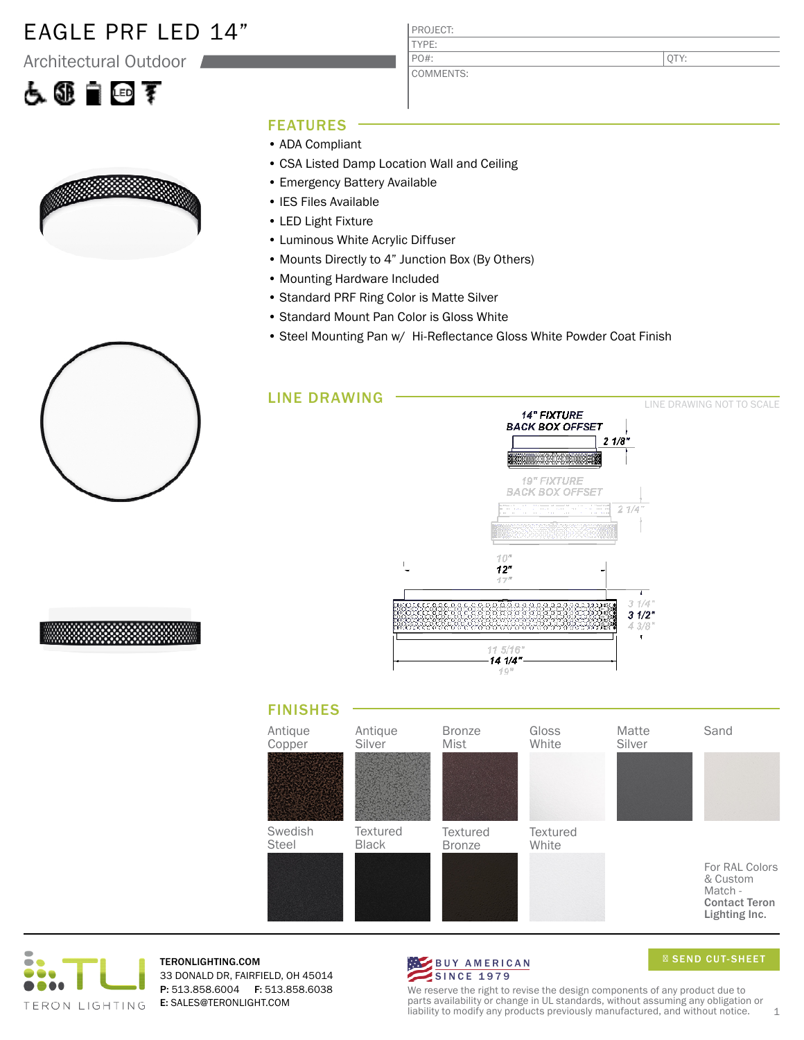### EAGLE PRF LED 14"

Architectural Outdoor

# 占领自回军



#### PROJECT: TYPE: COMMENTS: PO#:

QTY:

### FEATURES

- ADA Compliant
- CSA Listed Damp Location Wall and Ceiling
- Emergency Battery Available
- IES Files Available
- LED Light Fixture
- Luminous White Acrylic Diffuser
- Mounts Directly to 4" Junction Box (By Others)
- Mounting Hardware Included
- Standard PRF Ring Color is Matte Silver
- Standard Mount Pan Color is Gloss White
- Steel Mounting Pan w/ Hi-Reflectance Gloss White Powder Coat Finish









TERONLIGHTING.COM 33 DONALD DR, FAIRFIELD, OH 45014 P: 513.858.6004 F: 513.858.6038 E: SALES@TERONLIGHT.COM



SEND CUT-SHEET

We reserve the right to revise the design components of any product due to parts availability or change in UL standards, without assuming any obligation or liability to modify any products previously manufactured, and without notice.  $1$